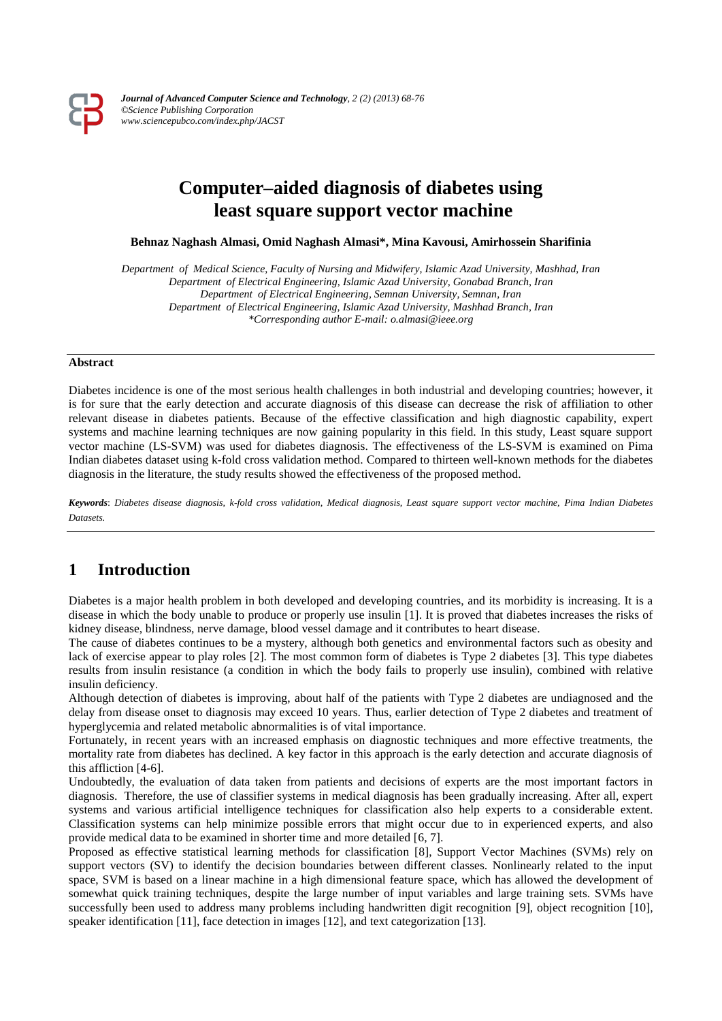

*Journal of Advanced Computer Science and Technology, 2 (2) (2013) 68-76 ©Science Publishing Corporation www.sciencepubco.com/index.php/JACST*

# **Computer–aided diagnosis of diabetes using least square support vector machine**

**Behnaz Naghash Almasi, Omid Naghash Almasi\*, Mina Kavousi, Amirhossein Sharifinia**

*Department of Medical Science, Faculty of Nursing and Midwifery, Islamic Azad University, Mashhad, Iran Department of Electrical Engineering, Islamic Azad University, Gonabad Branch, Iran Department of Electrical Engineering, Semnan University, Semnan, Iran Department of Electrical Engineering, Islamic Azad University, Mashhad Branch, Iran \*Corresponding author E-mail: o.almasi@ieee.org*

#### **Abstract**

Diabetes incidence is one of the most serious health challenges in both industrial and developing countries; however, it is for sure that the early detection and accurate diagnosis of this disease can decrease the risk of affiliation to other relevant disease in diabetes patients. Because of the effective classification and high diagnostic capability, expert systems and machine learning techniques are now gaining popularity in this field. In this study, Least square support vector machine (LS-SVM) was used for diabetes diagnosis. The effectiveness of the LS-SVM is examined on Pima Indian diabetes dataset using k-fold cross validation method. Compared to thirteen well-known methods for the diabetes diagnosis in the literature, the study results showed the effectiveness of the proposed method.

*Keywords*: *Diabetes disease diagnosis, k-fold cross validation, Medical diagnosis, Least square support vector machine, Pima Indian Diabetes Datasets.*

# **1 Introduction**

Diabetes is a major health problem in both developed and developing countries, and its morbidity is increasing. It is a disease in which the body unable to produce or properly use insulin [1]. It is proved that diabetes increases the risks of kidney disease, blindness, nerve damage, blood vessel damage and it contributes to heart disease.

The cause of diabetes continues to be a mystery, although both genetics and environmental factors such as obesity and lack of exercise appear to play roles [2]. The most common form of diabetes is Type 2 diabetes [3]. This type diabetes results from insulin resistance (a condition in which the body fails to properly use insulin), combined with relative insulin deficiency.

Although detection of diabetes is improving, about half of the patients with Type 2 diabetes are undiagnosed and the delay from disease onset to diagnosis may exceed 10 years. Thus, earlier detection of Type 2 diabetes and treatment of hyperglycemia and related metabolic abnormalities is of vital importance.

Fortunately, in recent years with an increased emphasis on diagnostic techniques and more effective treatments, the mortality rate from diabetes has declined. A key factor in this approach is the early detection and accurate diagnosis of this affliction [4-6].

Undoubtedly, the evaluation of data taken from patients and decisions of experts are the most important factors in diagnosis. Therefore, the use of classifier systems in medical diagnosis has been gradually increasing. After all, expert systems and various artificial intelligence techniques for classification also help experts to a considerable extent. Classification systems can help minimize possible errors that might occur due to in experienced experts, and also provide medical data to be examined in shorter time and more detailed [6, 7].

Proposed as effective statistical learning methods for classification [8], Support Vector Machines (SVMs) rely on support vectors (SV) to identify the decision boundaries between different classes. Nonlinearly related to the input space, SVM is based on a linear machine in a high dimensional feature space, which has allowed the development of somewhat quick training techniques, despite the large number of input variables and large training sets. SVMs have successfully been used to address many problems including handwritten digit recognition [9], object recognition [10], speaker identification [11], face detection in images [12], and text categorization [13].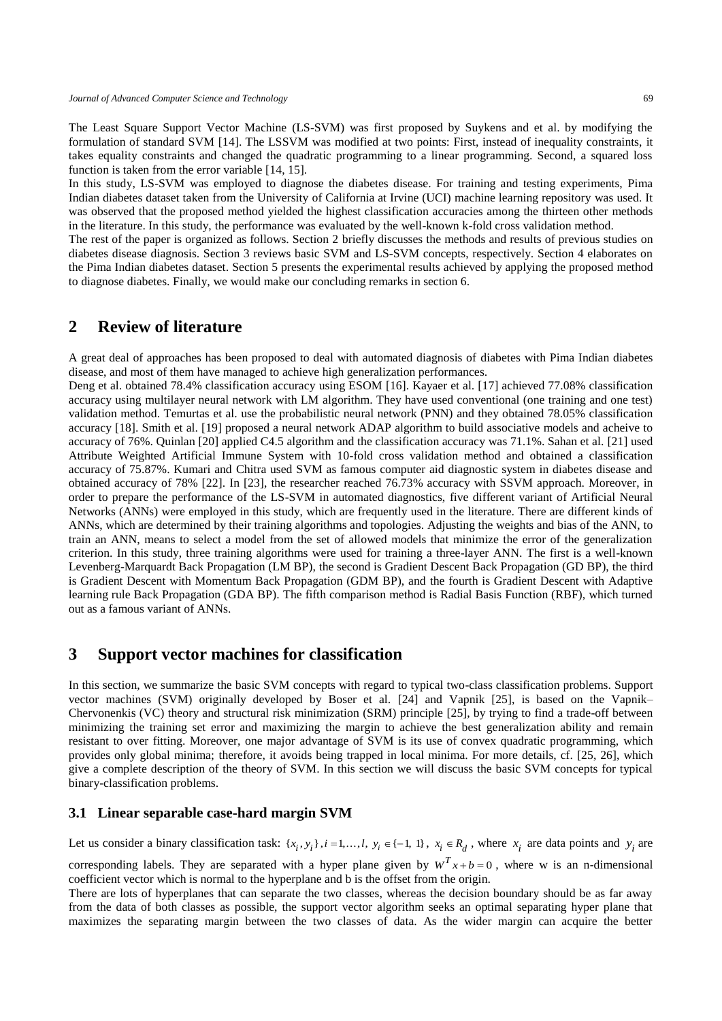The Least Square Support Vector Machine (LS-SVM) was first proposed by Suykens and et al. by modifying the formulation of standard SVM [14]. The LSSVM was modified at two points: First, instead of inequality constraints, it takes equality constraints and changed the quadratic programming to a linear programming. Second, a squared loss function is taken from the error variable [14, 15].

In this study, LS-SVM was employed to diagnose the diabetes disease. For training and testing experiments, Pima Indian diabetes dataset taken from the University of California at Irvine (UCI) machine learning repository was used. It was observed that the proposed method yielded the highest classification accuracies among the thirteen other methods in the literature. In this study, the performance was evaluated by the well-known k-fold cross validation method.

The rest of the paper is organized as follows. Section 2 briefly discusses the methods and results of previous studies on diabetes disease diagnosis. Section 3 reviews basic SVM and LS-SVM concepts, respectively. Section 4 elaborates on the Pima Indian diabetes dataset. Section 5 presents the experimental results achieved by applying the proposed method to diagnose diabetes. Finally, we would make our concluding remarks in section 6.

### **2 Review of literature**

A great deal of approaches has been proposed to deal with automated diagnosis of diabetes with Pima Indian diabetes disease, and most of them have managed to achieve high generalization performances.

Deng et al. obtained 78.4% classification accuracy using ESOM [16]. Kayaer et al. [17] achieved 77.08% classification accuracy using multilayer neural network with LM algorithm. They have used conventional (one training and one test) validation method. Temurtas et al. use the probabilistic neural network (PNN) and they obtained 78.05% classification accuracy [18]. Smith et al. [19] proposed a neural network ADAP algorithm to build associative models and acheive to accuracy of 76%. Quinlan [20] applied C4.5 algorithm and the classification accuracy was 71.1%. Sahan et al. [21] used Attribute Weighted Artificial Immune System with 10-fold cross validation method and obtained a classification accuracy of 75.87%. Kumari and Chitra used SVM as famous computer aid diagnostic system in diabetes disease and obtained accuracy of 78% [22]. In [23], the researcher reached 76.73% accuracy with SSVM approach. Moreover, in order to prepare the performance of the LS-SVM in automated diagnostics, five different variant of Artificial Neural Networks (ANNs) were employed in this study, which are frequently used in the literature. There are different kinds of ANNs, which are determined by their training algorithms and topologies. Adjusting the weights and bias of the ANN, to train an ANN, means to select a model from the set of allowed models that minimize the error of the generalization criterion. In this study, three training algorithms were used for training a three-layer ANN. The first is a well-known Levenberg-Marquardt Back Propagation (LM BP), the second is Gradient Descent Back Propagation (GD BP), the third is Gradient Descent with Momentum Back Propagation (GDM BP), and the fourth is Gradient Descent with Adaptive learning rule Back Propagation (GDA BP). The fifth comparison method is Radial Basis Function (RBF), which turned out as a famous variant of ANNs.

# **3 Support vector machines for classification**

In this section, we summarize the basic SVM concepts with regard to typical two-class classification problems. Support vector machines (SVM) originally developed by Boser et al. [24] and Vapnik [25], is based on the Vapnik– Chervonenkis (VC) theory and structural risk minimization (SRM) principle [25], by trying to find a trade-off between minimizing the training set error and maximizing the margin to achieve the best generalization ability and remain resistant to over fitting. Moreover, one major advantage of SVM is its use of convex quadratic programming, which provides only global minima; therefore, it avoids being trapped in local minima. For more details, cf. [25, 26], which give a complete description of the theory of SVM. In this section we will discuss the basic SVM concepts for typical binary-classification problems.

#### **3.1 Linear separable case-hard margin SVM**

Let us consider a binary classification task:  $\{x_i, y_i\}$ ,  $i = 1,...,l$ ,  $y_i \in \{-1, 1\}$ ,  $x_i \in R_d$ , where  $x_i$  are data points and  $y_i$  are corresponding labels. They are separated with a hyper plane given by  $W^T x + b = 0$ , where w is an n-dimensional

coefficient vector which is normal to the hyperplane and b is the offset from the origin.

There are lots of hyperplanes that can separate the two classes, whereas the decision boundary should be as far away from the data of both classes as possible, the support vector algorithm seeks an optimal separating hyper plane that maximizes the separating margin between the two classes of data. As the wider margin can acquire the better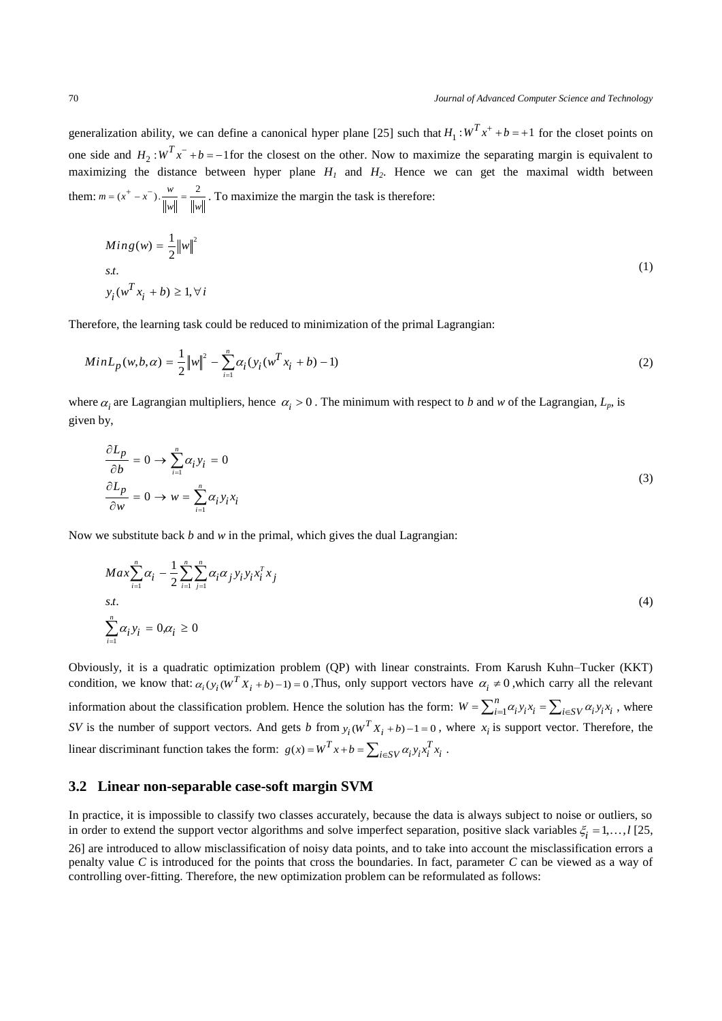generalization ability, we can define a canonical hyper plane [25] such that  $H_1: W^T x^+ + b = +1$  for the closet points on one side and  $H_2$ :  $W^T x^- + b = -1$  for the closest on the other. Now to maximize the separating margin is equivalent to maximizing the distance between hyper plane  $H_1$  and  $H_2$ . Hence we can get the maximal width between them:  $m = (x^+ - x^-) \cdot \frac{w}{\|w\|} = \frac{2}{\|w\|}$  $=(x^{+}-x^{-})\cdot \frac{w}{\|w\|}=\frac{2}{\|w\|}$ . To maximize the margin the task is therefore:

$$
Ming(w) = \frac{1}{2} ||w||^2
$$
  
s.t.  

$$
y_i(w^T x_i + b) \ge 1, \forall i
$$
 (1)

Therefore, the learning task could be reduced to minimization of the primal Lagrangian:

$$
MinL_p(w, b, \alpha) = \frac{1}{2} ||w||^2 - \sum_{i=1}^n \alpha_i (y_i (w^T x_i + b) - 1)
$$
\n(2)

where  $\alpha_i$  are Lagrangian multipliers, hence  $\alpha_i > 0$ . The minimum with respect to *b* and *w* of the Lagrangian,  $L_p$ , is given by,

$$
\frac{\partial L_p}{\partial b} = 0 \to \sum_{i=1}^n \alpha_i y_i = 0
$$
  

$$
\frac{\partial L_p}{\partial w} = 0 \to w = \sum_{i=1}^n \alpha_i y_i x_i
$$
 (3)

Now we substitute back *b* and *w* in the primal, which gives the dual Lagrangian:

$$
Max \sum_{i=1}^{n} \alpha_i - \frac{1}{2} \sum_{i=1}^{n} \sum_{j=1}^{n} \alpha_i \alpha_j y_i y_i x_i^T x_j
$$
  
s.t.  

$$
\sum_{i=1}^{n} \alpha_i y_i = 0, \alpha_i \ge 0
$$
 (4)

Obviously, it is a quadratic optimization problem (QP) with linear constraints. From Karush Kuhn–Tucker (KKT) condition, we know that:  $\alpha_i(y_i(W^T X_i + b) - 1) = 0$ . Thus, only support vectors have  $\alpha_i \neq 0$ , which carry all the relevant information about the classification problem. Hence the solution has the form:  $W = \sum_{i=1}^{n}$  $W = \sum_{i=1}^{n} \alpha_i y_i x_i = \sum_{i \in SV} \alpha_i y_i x_i$ , where SV is the number of support vectors. And gets *b* from  $y_i (W^T X_i + b) - 1 = 0$ , where  $x_i$  is support vector. Therefore, the linear discriminant function takes the form:  $g(x) = W^T x + b = \sum_{i \in SV} a_i y_i x_i^T x_i$ .

#### **3.2 Linear non-separable case-soft margin SVM**

In practice, it is impossible to classify two classes accurately, because the data is always subject to noise or outliers, so in order to extend the support vector algorithms and solve imperfect separation, positive slack variables  $\xi_i = 1, \dots, l$  [25, 26] are introduced to allow misclassification of noisy data points, and to take into account the misclassification errors a penalty value *C* is introduced for the points that cross the boundaries. In fact, parameter *C* can be viewed as a way of controlling over-fitting. Therefore, the new optimization problem can be reformulated as follows: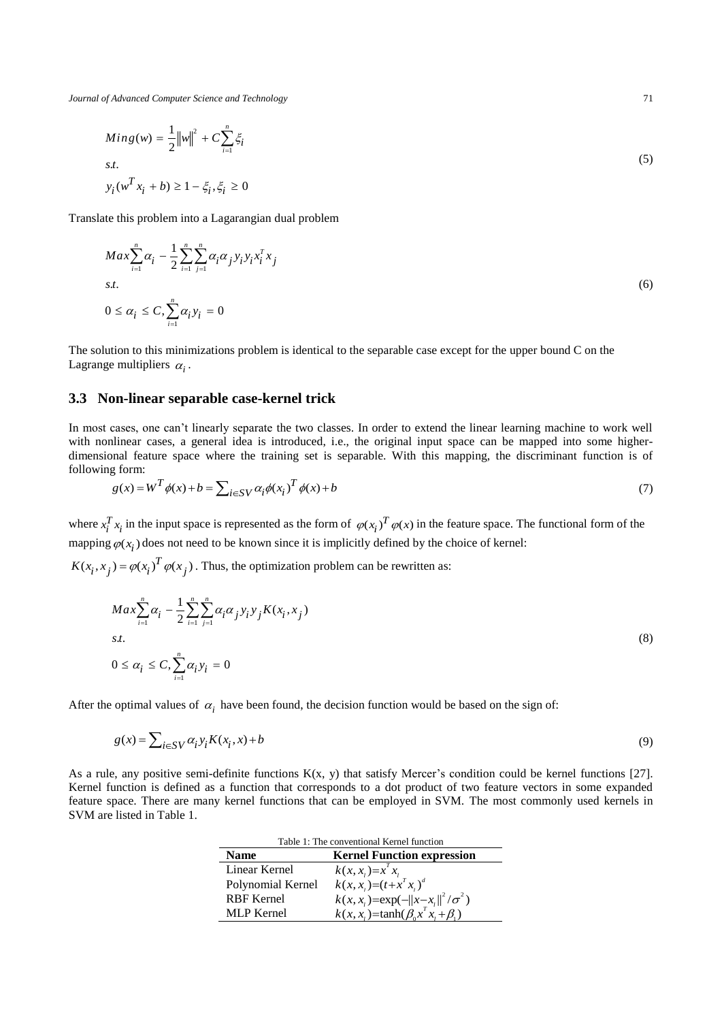*Journal of Advanced Computer Science and Technology* 71

$$
Ming(w) = \frac{1}{2} ||w||^{2} + C \sum_{i=1}^{n} \xi_{i}
$$
  
s.t.  

$$
y_{i}(w^{T}x_{i} + b) \ge 1 - \xi_{i}, \xi_{i} \ge 0
$$
 (5)

Translate this problem into a Lagarangian dual problem

$$
Max \sum_{i=1}^{n} \alpha_i - \frac{1}{2} \sum_{i=1}^{n} \sum_{j=1}^{n} \alpha_i \alpha_j y_i y_i x_i^T x_j
$$
  
\n*s.t.*  
\n
$$
0 \le \alpha_i \le C, \sum_{i=1}^{n} \alpha_i y_i = 0
$$
\n(6)

The solution to this minimizations problem is identical to the separable case except for the upper bound C on the Lagrange multipliers  $\alpha_i$ .

#### **3.3 Non-linear separable case-kernel trick**

In most cases, one can't linearly separate the two classes. In order to extend the linear learning machine to work well with nonlinear cases, a general idea is introduced, i.e., the original input space can be mapped into some higherdimensional feature space where the training set is separable. With this mapping, the discriminant function is of following form:

g form:  
\n
$$
g(x) = W^T \phi(x) + b = \sum_{i \in SV} \alpha_i \phi(x_i)^T \phi(x) + b
$$
\n(7)

where  $x_i^T x_i$  in the input space is represented as the form of  $\varphi(x_i)^T \varphi(x)$  in the feature space. The functional form of the mapping  $\varphi(x_i)$  does not need to be known since it is implicitly defined by the choice of kernel:

 $K(x_i, x_j) = \varphi(x_i)^T \varphi(x_j)$ . Thus, the optimization problem can be rewritten as:

$$
Max \sum_{i=1}^{n} \alpha_i - \frac{1}{2} \sum_{i=1}^{n} \sum_{j=1}^{n} \alpha_i \alpha_j y_i y_j K(x_i, x_j)
$$
  
s.t.  

$$
0 \le \alpha_i \le C, \sum_{i=1}^{n} \alpha_i y_i = 0
$$
 (8)

After the optimal values of  $\alpha_i$  have been found, the decision function would be based on the sign of:

$$
g(x) = \sum_{i \in SV} \alpha_i y_i K(x_i, x) + b \tag{9}
$$

As a rule, any positive semi-definite functions  $K(x, y)$  that satisfy Mercer's condition could be kernel functions [27]. Kernel function is defined as a function that corresponds to a dot product of two feature vectors in some expanded feature space. There are many kernel functions that can be employed in SVM. The most commonly used kernels in SVM are listed in Table 1.

| Table 1: The conventional Kernel function |                                                |  |
|-------------------------------------------|------------------------------------------------|--|
| <b>Name</b>                               | <b>Kernel Function expression</b>              |  |
| Linear Kernel                             | $k(x, x_i)=x^T x_i$                            |  |
| Polynomial Kernel                         | $k(x, x) = (t + x^T x)$                        |  |
| <b>RBF</b> Kernel                         | $k(x, x_i) = \exp(-  x-x_i  ^2/\sigma^2)$      |  |
| <b>MLP</b> Kernel                         | $k(x, x_i) = \tanh(\beta_0 x^T x_i + \beta_1)$ |  |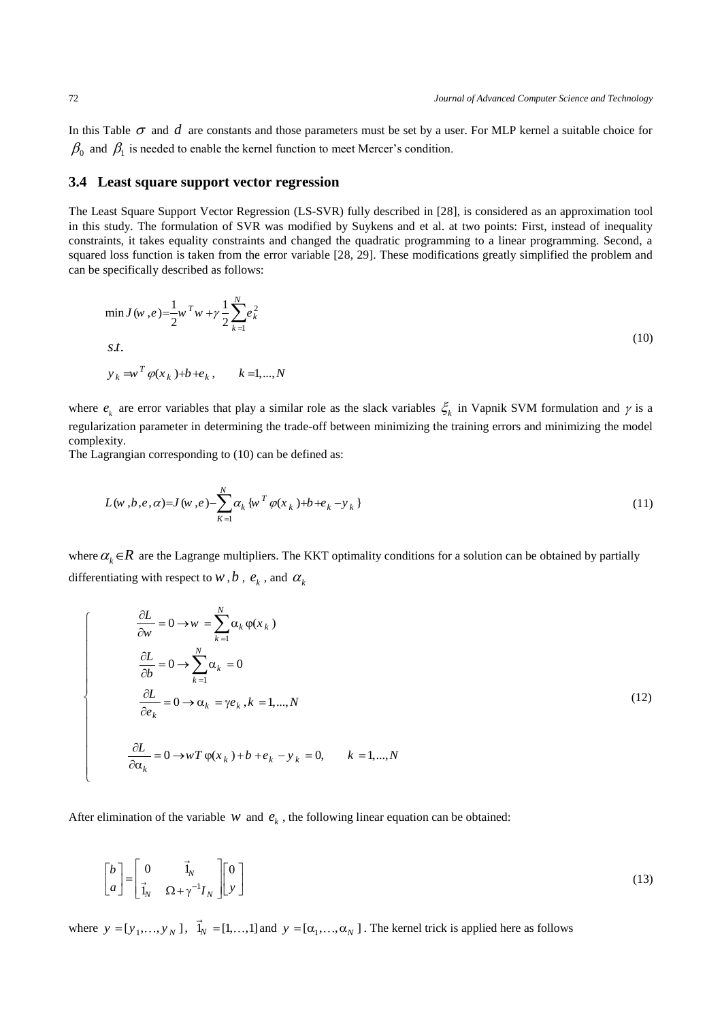In this Table  $\sigma$  and  $d$  are constants and those parameters must be set by a user. For MLP kernel a suitable choice for  $\beta_0$  and  $\beta_1$  is needed to enable the kernel function to meet Mercer's condition.

#### **3.4 Least square support vector regression**

The Least Square Support Vector Regression (LS-SVR) fully described in [28], is considered as an approximation tool in this study. The formulation of SVR was modified by Suykens and et al. at two points: First, instead of inequality constraints, it takes equality constraints and changed the quadratic programming to a linear programming. Second, a squared loss function is taken from the error variable [28, 29]. These modifications greatly simplified the problem and can be specifically described as follows:

$$
\min J(w, e) = \frac{1}{2} w^T w + \gamma \frac{1}{2} \sum_{k=1}^N e_k^2
$$
  
s.t.  

$$
y_k = w^T \varphi(x_k) + b + e_k, \qquad k = 1, ..., N
$$
 (10)

where  $e_k$  are error variables that play a similar role as the slack variables  $\xi_k$  in Vapnik SVM formulation and  $\gamma$  is a regularization parameter in determining the trade-off between minimizing the training errors and minimizing the model complexity.

The Lagrangian corresponding to (10) can be defined as:

$$
L(w, b, e, \alpha) = J(w, e) - \sum_{K=1}^{N} \alpha_k \{w^T \varphi(x_k) + b + e_k - y_k\}
$$
\n(11)

where  $\alpha_k \in R$  are the Lagrange multipliers. The KKT optimality conditions for a solution can be obtained by partially differentiating with respect to  $w$  ,  $b$  ,  $e_k$  , and  $\alpha_k$ 

$$
\frac{\partial L}{\partial w} = 0 \rightarrow w = \sum_{k=1}^{N} \alpha_k \varphi(x_k)
$$
  

$$
\frac{\partial L}{\partial b} = 0 \rightarrow \sum_{k=1}^{N} \alpha_k = 0
$$
  

$$
\frac{\partial L}{\partial e_k} = 0 \rightarrow \alpha_k = \gamma e_k, k = 1,...,N
$$
  

$$
\frac{\partial L}{\partial \alpha_k} = 0 \rightarrow wT \varphi(x_k) + b + e_k - y_k = 0, \qquad k = 1,...,N
$$
  
(12)

After elimination of the variable *w* and  $e_k$ , the following linear equation can be obtained:

$$
\begin{bmatrix} b \\ a \end{bmatrix} = \begin{bmatrix} 0 & \vec{1}_N \\ \vec{1}_N & \Omega + \gamma^{-1} I_N \end{bmatrix} \begin{bmatrix} 0 \\ y \end{bmatrix}
$$
\n(13)

where  $y = [y_1, ..., y_N]$ ,  $1_N = [1, ..., 1]$  and  $y = [\alpha_1, ..., \alpha_N]$ . The kernel trick is applied here as follows

 $\begin{bmatrix} \phantom{-} \end{bmatrix}$  $\mathbf{I}$  $\mathbf{I}$  $\mathbf{I}$  $\mathbf{I}$  $\vert$ ₹  $\mathbf{I}$  $\mathbf{I}$  $\mathbf{I}$  $\mathbf{I}$  $\mathbf{I}$  $\overline{\mathcal{L}}$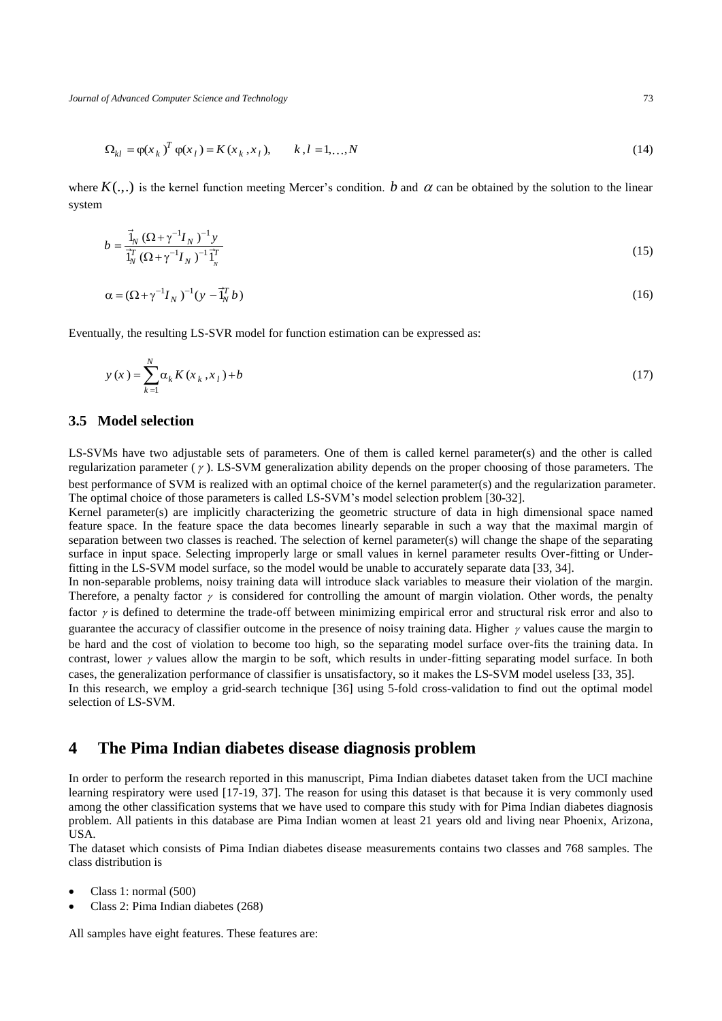$$
\Omega_{kl} = \varphi(x_k)^T \varphi(x_l) = K(x_k, x_l), \qquad k, l = 1,...,N
$$
\n(14)

where  $K(.,.)$  is the kernel function meeting Mercer's condition. *b* and  $\alpha$  can be obtained by the solution to the linear system

$$
b = \frac{\vec{1}_N (\Omega + \gamma^{-1} I_N)^{-1} y}{\vec{1}_N^T (\Omega + \gamma^{-1} I_N)^{-1} \vec{1}_N^T}
$$
(15)

$$
\alpha = (\Omega + \gamma^{-1} I_N)^{-1} (y - \vec{I}_N^T b)
$$
\n(16)

Eventually, the resulting LS-SVR model for function estimation can be expressed as:

$$
y(x) = \sum_{k=1}^{N} \alpha_k K(x_k, x_l) + b
$$
\n(17)

#### **3.5 Model selection**

LS-SVMs have two adjustable sets of parameters. One of them is called kernel parameter(s) and the other is called regularization parameter  $(y)$ . LS-SVM generalization ability depends on the proper choosing of those parameters. The best performance of SVM is realized with an optimal choice of the kernel parameter(s) and the regularization parameter. The optimal choice of those parameters is called LS-SVM's model selection problem [30-32].

Kernel parameter(s) are implicitly characterizing the geometric structure of data in high dimensional space named feature space. In the feature space the data becomes linearly separable in such a way that the maximal margin of separation between two classes is reached. The selection of kernel parameter(s) will change the shape of the separating surface in input space. Selecting improperly large or small values in kernel parameter results Over-fitting or Underfitting in the LS-SVM model surface, so the model would be unable to accurately separate data [33, 34].

In non-separable problems, noisy training data will introduce slack variables to measure their violation of the margin. Therefore, a penalty factor  $\gamma$  is considered for controlling the amount of margin violation. Other words, the penalty factor  $\gamma$  is defined to determine the trade-off between minimizing empirical error and structural risk error and also to guarantee the accuracy of classifier outcome in the presence of noisy training data. Higher  $\gamma$  values cause the margin to be hard and the cost of violation to become too high, so the separating model surface over-fits the training data. In contrast, lower  $\gamma$  values allow the margin to be soft, which results in under-fitting separating model surface. In both cases, the generalization performance of classifier is unsatisfactory, so it makes the LS-SVM model useless [33, 35].

In this research, we employ a grid-search technique [36] using 5-fold cross-validation to find out the optimal model selection of LS-SVM.

### **4 The Pima Indian diabetes disease diagnosis problem**

In order to perform the research reported in this manuscript, Pima Indian diabetes dataset taken from the UCI machine learning respiratory were used [17-19, 37]. The reason for using this dataset is that because it is very commonly used among the other classification systems that we have used to compare this study with for Pima Indian diabetes diagnosis problem. All patients in this database are Pima Indian women at least 21 years old and living near Phoenix, Arizona, USA.

The dataset which consists of Pima Indian diabetes disease measurements contains two classes and 768 samples. The class distribution is

- Class 1: normal (500)
- Class 2: Pima Indian diabetes (268)

All samples have eight features. These features are: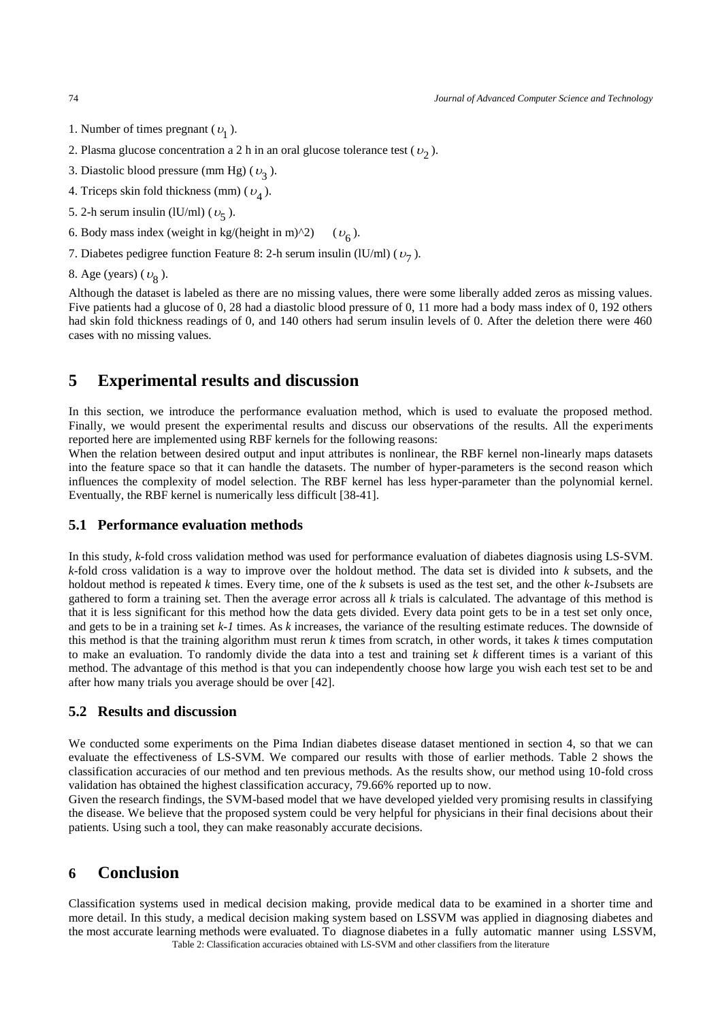- 1. Number of times pregnant  $(v_1)$ .
- 2. Plasma glucose concentration a 2 h in an oral glucose tolerance test  $(v_2)$ .
- 3. Diastolic blood pressure (mm Hg)  $(v_3)$ .
- 4. Triceps skin fold thickness (mm)  $(\nu_4)$ .
- 5. 2-h serum insulin (lU/ml) ( $v_5$ ).
- 6. Body mass index (weight in kg/(height in m) $\binom{2}{2}$  $v_6$ ).
- 7. Diabetes pedigree function Feature 8: 2-h serum insulin (lU/ml)  $(\nu_{7})$ .

8. Age (years) ( $v_8$ ).

Although the dataset is labeled as there are no missing values, there were some liberally added zeros as missing values. Five patients had a glucose of 0, 28 had a diastolic blood pressure of 0, 11 more had a body mass index of 0, 192 others had skin fold thickness readings of 0, and 140 others had serum insulin levels of 0. After the deletion there were 460 cases with no missing values.

## **5 Experimental results and discussion**

In this section, we introduce the performance evaluation method, which is used to evaluate the proposed method. Finally, we would present the experimental results and discuss our observations of the results. All the experiments reported here are implemented using RBF kernels for the following reasons:

When the relation between desired output and input attributes is nonlinear, the RBF kernel non-linearly maps datasets into the feature space so that it can handle the datasets. The number of hyper-parameters is the second reason which influences the complexity of model selection. The RBF kernel has less hyper-parameter than the polynomial kernel. Eventually, the RBF kernel is numerically less difficult [38-41].

#### **5.1 Performance evaluation methods**

In this study, *k*-fold cross validation method was used for performance evaluation of diabetes diagnosis using LS-SVM. *k*-fold cross validation is a way to improve over the holdout method. The data set is divided into *k* subsets, and the holdout method is repeated *k* times. Every time, one of the *k* subsets is used as the test set, and the other *k-1*subsets are gathered to form a training set. Then the average error across all *k* trials is calculated. The advantage of this method is that it is less significant for this method how the data gets divided. Every data point gets to be in a test set only once, and gets to be in a training set *k-1* times. As *k* increases, the variance of the resulting estimate reduces. The downside of this method is that the training algorithm must rerun *k* times from scratch, in other words, it takes *k* times computation to make an evaluation. To randomly divide the data into a test and training set *k* different times is a variant of this method. The advantage of this method is that you can independently choose how large you wish each test set to be and after how many trials you average should be over [42].

#### **5.2 Results and discussion**

We conducted some experiments on the Pima Indian diabetes disease dataset mentioned in section 4, so that we can evaluate the effectiveness of LS-SVM. We compared our results with those of earlier methods. Table 2 shows the classification accuracies of our method and ten previous methods. As the results show, our method using 10-fold cross validation has obtained the highest classification accuracy, 79.66% reported up to now.

Given the research findings, the SVM-based model that we have developed yielded very promising results in classifying the disease. We believe that the proposed system could be very helpful for physicians in their final decisions about their patients. Using such a tool, they can make reasonably accurate decisions.

# **6 Conclusion**

Classification systems used in medical decision making, provide medical data to be examined in a shorter time and more detail. In this study, a medical decision making system based on LSSVM was applied in diagnosing diabetes and the most accurate learning methods were evaluated. To diagnose diabetes in a fully automatic manner using LSSVM, Table 2: Classification accuracies obtained with LS-SVM and other classifiers from the literature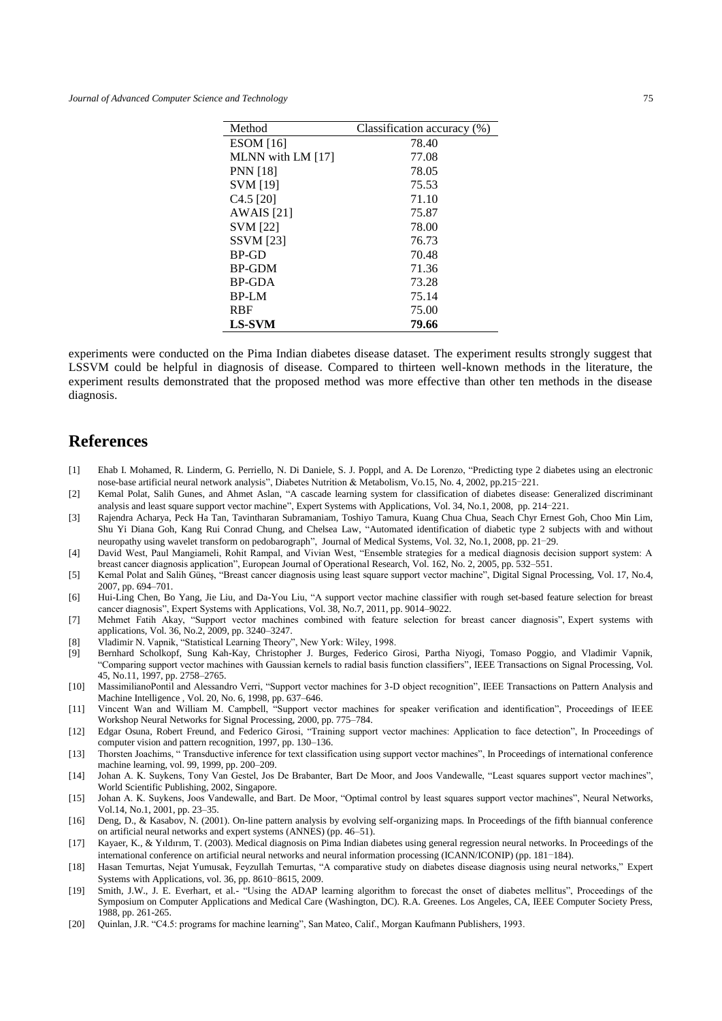*Journal of Advanced Computer Science and Technology* 75

| Method            | Classification accuracy (%) |
|-------------------|-----------------------------|
| <b>ESOM</b> [16]  | 78.40                       |
| MLNN with LM [17] | 77.08                       |
| <b>PNN</b> [18]   | 78.05                       |
| <b>SVM</b> [19]   | 75.53                       |
| $C4.5$ [20]       | 71.10                       |
| <b>AWAIS</b> [21] | 75.87                       |
| <b>SVM</b> [22]   | 78.00                       |
| <b>SSVM</b> [23]  | 76.73                       |
| BP-GD             | 70.48                       |
| <b>BP-GDM</b>     | 71.36                       |
| <b>BP-GDA</b>     | 73.28                       |
| <b>BP-LM</b>      | 75.14                       |
| <b>RBF</b>        | 75.00                       |
| <b>LS-SVM</b>     | 79.66                       |

experiments were conducted on the Pima Indian diabetes disease dataset. The experiment results strongly suggest that LSSVM could be helpful in diagnosis of disease. Compared to thirteen well-known methods in the literature, the experiment results demonstrated that the proposed method was more effective than other ten methods in the disease diagnosis.

### **References**

- [1] Ehab I. Mohamed, R. Linderm, G. Perriello, N. Di Daniele, S. J. Poppl, and A. De Lorenzo, "Predicting type 2 diabetes using an electronic nose-base artificial neural network analysis", Diabetes Nutrition & Metabolism, Vo.15, No. 4, 2002, pp.215–221.
- [2] Kemal Polat, Salih Gunes, and Ahmet Aslan, "A cascade learning system for classification of diabetes disease: Generalized discriminant analysis and least square support vector machine", Expert Systems with Applications, Vol. 34, No.1, 2008, pp. 214–221.
- [3] Rajendra Acharya, Peck Ha Tan, Tavintharan Subramaniam, Toshiyo Tamura, Kuang Chua Chua, Seach Chyr Ernest Goh, Choo Min Lim, Shu Yi Diana Goh, Kang Rui Conrad Chung, and Chelsea Law, "Automated identification of diabetic type 2 subjects with and without neuropathy using wavelet transform on pedobarograph", Journal of Medical Systems, Vol. 32, No.1, 2008, pp. 21–29.
- [4] David West, Paul Mangiameli, Rohit Rampal, and Vivian West, "Ensemble strategies for a medical diagnosis decision support system: A breast cancer diagnosis application", European Journal of Operational Research, Vol. 162, No. 2, 2005, pp. 532–551.
- [5] Kemal Polat and Salih Güneş, "Breast cancer diagnosis using least square support vector machine", Digital Signal Processing, Vol. 17, No.4, 2007, pp. 694–701.
- [6] Hui-Ling Chen, Bo Yang, Jie Liu, and Da-You Liu, "A support vector machine classifier with rough set-based feature selection for breast cancer diagnosis", Expert Systems with Applications, Vol. 38, No.7, 2011, pp. 9014–9022.
- [7] Mehmet Fatih Akay, "Support vector machines combined with feature selection for breast cancer diagnosis", Expert systems with applications, Vol. 36, No.2, 2009, pp. 3240–3247.
- [8] Vladimir N. Vapnik, "Statistical Learning Theory", New York: Wiley, 1998.
- [9] [Bernhard](http://ieeexplore.ieee.org/search/searchresult.jsp?searchWithin=p_Authors:.QT.Scholkopf,%20Bernhard.QT.&searchWithin=p_Author_Ids:37265889200&newsearch=true) Scholkopf, Sung Kah-Kay, Christopher J. Burges, Federico Girosi, Partha Niyogi, Tomaso Poggio, and Vladimir Vapnik, "Comparing support vector machines with Gaussian kernels to radial basis function classifiers", IEEE Transactions on Signal Processing, Vol. 45, No.11, 1997, pp. 2758–2765.
- [10] MassimilianoPontil and Alessandro Verri, "Support vector machines for 3-D object recognition", IEEE Transactions on Pattern Analysis and Machine Intelligence , Vol. 20, No. 6, 1998, pp. 637–646.
- [11] Vincent Wan and William M. Campbell, "Support vector machines for speaker verification and identification", Proceedings of IEEE Workshop Neural Networks for Signal Processing, 2000, pp. 775–784.
- [12] Edgar Osuna, Robert Freund, and Federico Girosi, "Training support vector machines: Application to face detection", In Proceedings of computer vision and pattern recognition, 1997, pp. 130–136.
- [13] Thorsten Joachims, " Transductive inference for text classification using support vector machines", In Proceedings of international conference machine learning, vol. 99, 1999, pp. 200–209.
- [14] Johan A. K. Suykens, Tony Van Gestel, Jos De Brabanter, Bart De Moor, and Joos Vandewalle, "Least squares support vector machines", World Scientific Publishing, 2002, Singapore.
- [15] Johan A. K. Suykens, Joos Vandewalle, and Bart. De Moor, "Optimal control by least squares support vector machines", Neural Networks, Vol.14, No.1, 2001, pp. 23–35.
- [16] Deng, D., & Kasabov, N. (2001). On-line pattern analysis by evolving self-organizing maps. In Proceedings of the fifth biannual conference on artificial neural networks and expert systems (ANNES) (pp. 46–51).
- [17] Kayaer, K., & Yıldırım, T. (2003). Medical diagnosis on Pima Indian diabetes using general regression neural networks. In Proceedings of the international conference on artificial neural networks and neural information processing (ICANN/ICONIP) (pp. 181–184).
- [18] Hasan Temurtas, Nejat Yumusak, Feyzullah Temurtas, "A comparative study on diabetes disease diagnosis using neural networks," Expert Systems with Applications, vol. 36, pp. 8610–8615, 2009.
- [19] Smith, J.W., J. E. Everhart, et al.- "Using the ADAP learning algorithm to forecast the onset of diabetes mellitus", Proceedings of the Symposium on Computer Applications and Medical Care (Washington, DC). R.A. Greenes. Los Angeles, CA, IEEE Computer Society Press, 1988, pp. 261-265.
- [20] Quinlan, J.R. "C4.5: programs for machine learning", San Mateo, Calif., Morgan Kaufmann Publishers, 1993.